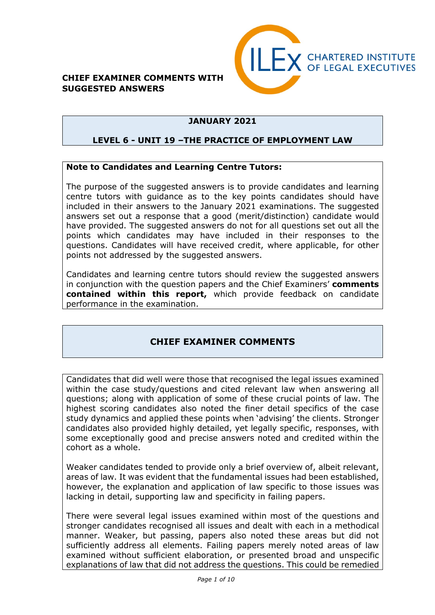



#### **JANUARY 2021**

#### **LEVEL 6 - UNIT 19 –THE PRACTICE OF EMPLOYMENT LAW**

#### **Note to Candidates and Learning Centre Tutors:**

The purpose of the suggested answers is to provide candidates and learning centre tutors with guidance as to the key points candidates should have included in their answers to the January 2021 examinations. The suggested answers set out a response that a good (merit/distinction) candidate would have provided. The suggested answers do not for all questions set out all the points which candidates may have included in their responses to the questions. Candidates will have received credit, where applicable, for other points not addressed by the suggested answers.

Candidates and learning centre tutors should review the suggested answers in conjunction with the question papers and the Chief Examiners' **comments contained within this report,** which provide feedback on candidate performance in the examination.

#### **CHIEF EXAMINER COMMENTS**

Candidates that did well were those that recognised the legal issues examined within the case study/questions and cited relevant law when answering all questions; along with application of some of these crucial points of law. The highest scoring candidates also noted the finer detail specifics of the case study dynamics and applied these points when 'advising' the clients. Stronger candidates also provided highly detailed, yet legally specific, responses, with some exceptionally good and precise answers noted and credited within the cohort as a whole.

Weaker candidates tended to provide only a brief overview of, albeit relevant, areas of law. It was evident that the fundamental issues had been established, however, the explanation and application of law specific to those issues was lacking in detail, supporting law and specificity in failing papers.

There were several legal issues examined within most of the questions and stronger candidates recognised all issues and dealt with each in a methodical manner. Weaker, but passing, papers also noted these areas but did not sufficiently address all elements. Failing papers merely noted areas of law examined without sufficient elaboration, or presented broad and unspecific explanations of law that did not address the questions. This could be remedied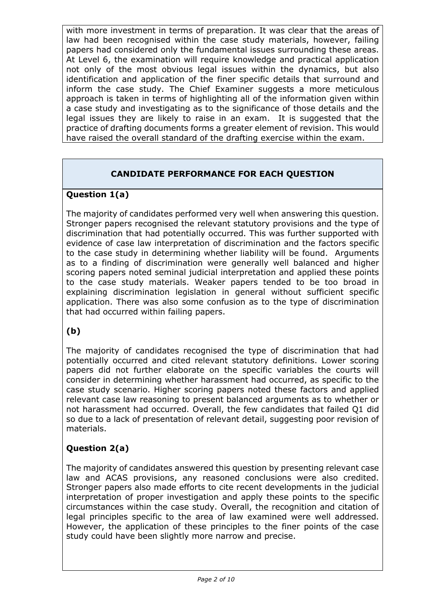with more investment in terms of preparation. It was clear that the areas of law had been recognised within the case study materials, however, failing papers had considered only the fundamental issues surrounding these areas. At Level 6, the examination will require knowledge and practical application not only of the most obvious legal issues within the dynamics, but also identification and application of the finer specific details that surround and inform the case study. The Chief Examiner suggests a more meticulous approach is taken in terms of highlighting all of the information given within a case study and investigating as to the significance of those details and the legal issues they are likely to raise in an exam. It is suggested that the practice of drafting documents forms a greater element of revision. This would have raised the overall standard of the drafting exercise within the exam.

## **CANDIDATE PERFORMANCE FOR EACH QUESTION**

#### **Question 1(a)**

The majority of candidates performed very well when answering this question. Stronger papers recognised the relevant statutory provisions and the type of discrimination that had potentially occurred. This was further supported with evidence of case law interpretation of discrimination and the factors specific to the case study in determining whether liability will be found. Arguments as to a finding of discrimination were generally well balanced and higher scoring papers noted seminal judicial interpretation and applied these points to the case study materials. Weaker papers tended to be too broad in explaining discrimination legislation in general without sufficient specific application. There was also some confusion as to the type of discrimination that had occurred within failing papers.

### **(b)**

The majority of candidates recognised the type of discrimination that had potentially occurred and cited relevant statutory definitions. Lower scoring papers did not further elaborate on the specific variables the courts will consider in determining whether harassment had occurred, as specific to the case study scenario. Higher scoring papers noted these factors and applied relevant case law reasoning to present balanced arguments as to whether or not harassment had occurred. Overall, the few candidates that failed Q1 did so due to a lack of presentation of relevant detail, suggesting poor revision of materials.

### **Question 2(a)**

The majority of candidates answered this question by presenting relevant case law and ACAS provisions, any reasoned conclusions were also credited. Stronger papers also made efforts to cite recent developments in the judicial interpretation of proper investigation and apply these points to the specific circumstances within the case study. Overall, the recognition and citation of legal principles specific to the area of law examined were well addressed. However, the application of these principles to the finer points of the case study could have been slightly more narrow and precise.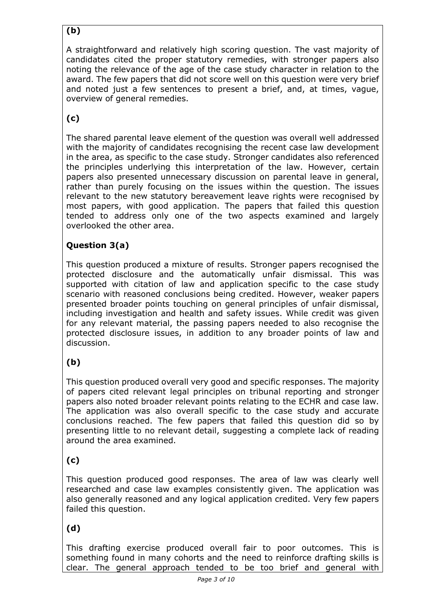# **(b)**

A straightforward and relatively high scoring question. The vast majority of candidates cited the proper statutory remedies, with stronger papers also noting the relevance of the age of the case study character in relation to the award. The few papers that did not score well on this question were very brief and noted just a few sentences to present a brief, and, at times, vague, overview of general remedies.

# **(c)**

The shared parental leave element of the question was overall well addressed with the majority of candidates recognising the recent case law development in the area, as specific to the case study. Stronger candidates also referenced the principles underlying this interpretation of the law. However, certain papers also presented unnecessary discussion on parental leave in general, rather than purely focusing on the issues within the question. The issues relevant to the new statutory bereavement leave rights were recognised by most papers, with good application. The papers that failed this question tended to address only one of the two aspects examined and largely overlooked the other area.

## **Question 3(a)**

This question produced a mixture of results. Stronger papers recognised the protected disclosure and the automatically unfair dismissal. This was supported with citation of law and application specific to the case study scenario with reasoned conclusions being credited. However, weaker papers presented broader points touching on general principles of unfair dismissal, including investigation and health and safety issues. While credit was given for any relevant material, the passing papers needed to also recognise the protected disclosure issues, in addition to any broader points of law and discussion.

# **(b)**

This question produced overall very good and specific responses. The majority of papers cited relevant legal principles on tribunal reporting and stronger papers also noted broader relevant points relating to the ECHR and case law. The application was also overall specific to the case study and accurate conclusions reached. The few papers that failed this question did so by presenting little to no relevant detail, suggesting a complete lack of reading around the area examined.

### **(c)**

This question produced good responses. The area of law was clearly well researched and case law examples consistently given. The application was also generally reasoned and any logical application credited. Very few papers failed this question.

### **(d)**

This drafting exercise produced overall fair to poor outcomes. This is something found in many cohorts and the need to reinforce drafting skills is clear. The general approach tended to be too brief and general with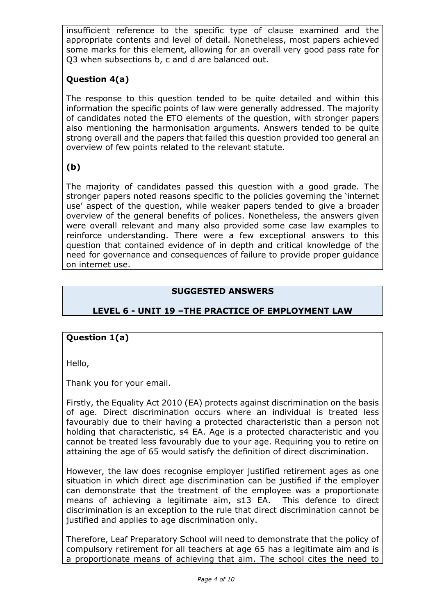insufficient reference to the specific type of clause examined and the appropriate contents and level of detail. Nonetheless, most papers achieved some marks for this element, allowing for an overall very good pass rate for Q3 when subsections b, c and d are balanced out.

#### **Question 4(a)**

The response to this question tended to be quite detailed and within this information the specific points of law were generally addressed. The majority of candidates noted the ETO elements of the question, with stronger papers also mentioning the harmonisation arguments. Answers tended to be quite strong overall and the papers that failed this question provided too general an overview of few points related to the relevant statute.

### **(b)**

The majority of candidates passed this question with a good grade. The stronger papers noted reasons specific to the policies governing the 'internet use' aspect of the question, while weaker papers tended to give a broader overview of the general benefits of polices. Nonetheless, the answers given were overall relevant and many also provided some case law examples to reinforce understanding. There were a few exceptional answers to this question that contained evidence of in depth and critical knowledge of the need for governance and consequences of failure to provide proper guidance on internet use.

#### **SUGGESTED ANSWERS**

#### **LEVEL 6 - UNIT 19 –THE PRACTICE OF EMPLOYMENT LAW**

#### **Question 1(a)**

Hello,

Thank you for your email.

Firstly, the Equality Act 2010 (EA) protects against discrimination on the basis of age. Direct discrimination occurs where an individual is treated less favourably due to their having a protected characteristic than a person not holding that characteristic, s4 EA. Age is a protected characteristic and you cannot be treated less favourably due to your age. Requiring you to retire on attaining the age of 65 would satisfy the definition of direct discrimination.

However, the law does recognise employer justified retirement ages as one situation in which direct age discrimination can be justified if the employer can demonstrate that the treatment of the employee was a proportionate means of achieving a legitimate aim, s13 EA. This defence to direct discrimination is an exception to the rule that direct discrimination cannot be justified and applies to age discrimination only.

Therefore, Leaf Preparatory School will need to demonstrate that the policy of compulsory retirement for all teachers at age 65 has a legitimate aim and is a proportionate means of achieving that aim. The school cites the need to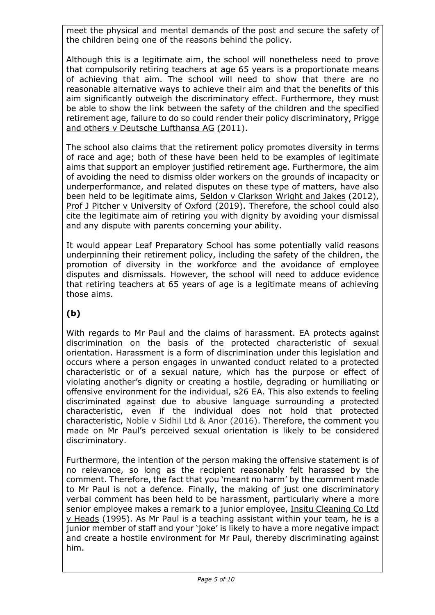meet the physical and mental demands of the post and secure the safety of the children being one of the reasons behind the policy.

Although this is a legitimate aim, the school will nonetheless need to prove that compulsorily retiring teachers at age 65 years is a proportionate means of achieving that aim. The school will need to show that there are no reasonable alternative ways to achieve their aim and that the benefits of this aim significantly outweigh the discriminatory effect. Furthermore, they must be able to show the link between the safety of the children and the specified retirement age, failure to do so could render their policy discriminatory, Prigge and others v Deutsche Lufthansa AG (2011).

The school also claims that the retirement policy promotes diversity in terms of race and age; both of these have been held to be examples of legitimate aims that support an employer justified retirement age. Furthermore, the aim of avoiding the need to dismiss older workers on the grounds of incapacity or underperformance, and related disputes on these type of matters, have also been held to be legitimate aims, Seldon v Clarkson Wright and Jakes (2012), Prof J Pitcher v University of Oxford (2019). Therefore, the school could also cite the legitimate aim of retiring you with dignity by avoiding your dismissal and any dispute with parents concerning your ability.

It would appear Leaf Preparatory School has some potentially valid reasons underpinning their retirement policy, including the safety of the children, the promotion of diversity in the workforce and the avoidance of employee disputes and dismissals. However, the school will need to adduce evidence that retiring teachers at 65 years of age is a legitimate means of achieving those aims.

### **(b)**

With regards to Mr Paul and the claims of harassment. EA protects against discrimination on the basis of the protected characteristic of sexual orientation. Harassment is a form of discrimination under this legislation and occurs where a person engages in unwanted conduct related to a protected characteristic or of a sexual nature, which has the purpose or effect of violating another's dignity or creating a hostile, degrading or humiliating or offensive environment for the individual, s26 EA. This also extends to feeling discriminated against due to abusive language surrounding a protected characteristic, even if the individual does not hold that protected characteristic, Noble v Sidhil Ltd & Anor (2016). Therefore, the comment you made on Mr Paul's perceived sexual orientation is likely to be considered discriminatory.

Furthermore, the intention of the person making the offensive statement is of no relevance, so long as the recipient reasonably felt harassed by the comment. Therefore, the fact that you 'meant no harm' by the comment made to Mr Paul is not a defence. Finally, the making of just one discriminatory verbal comment has been held to be harassment, particularly where a more senior employee makes a remark to a junior employee, Insitu Cleaning Co Ltd v Heads (1995). As Mr Paul is a teaching assistant within your team, he is a junior member of staff and your 'joke' is likely to have a more negative impact and create a hostile environment for Mr Paul, thereby discriminating against him.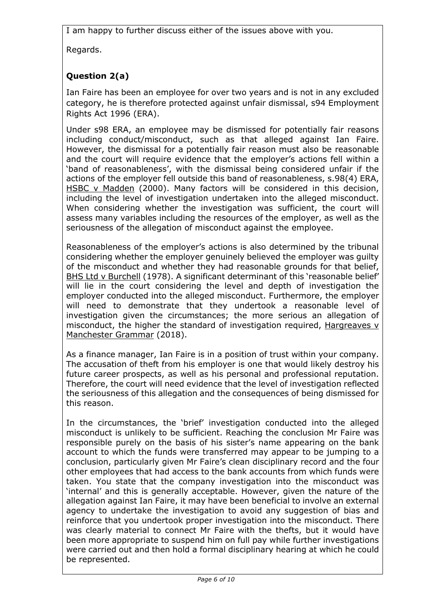I am happy to further discuss either of the issues above with you.

Regards.

# **Question 2(a)**

Ian Faire has been an employee for over two years and is not in any excluded category, he is therefore protected against unfair dismissal, s94 Employment Rights Act 1996 (ERA).

Under s98 ERA, an employee may be dismissed for potentially fair reasons including conduct/misconduct, such as that alleged against Ian Faire. However, the dismissal for a potentially fair reason must also be reasonable and the court will require evidence that the employer's actions fell within a 'band of reasonableness', with the dismissal being considered unfair if the actions of the employer fell outside this band of reasonableness, s.98(4) ERA, HSBC v Madden (2000). Many factors will be considered in this decision, including the level of investigation undertaken into the alleged misconduct. When considering whether the investigation was sufficient, the court will assess many variables including the resources of the employer, as well as the seriousness of the allegation of misconduct against the employee.

Reasonableness of the employer's actions is also determined by the tribunal considering whether the employer genuinely believed the employer was guilty of the misconduct and whether they had reasonable grounds for that belief, BHS Ltd v Burchell (1978). A significant determinant of this 'reasonable belief' will lie in the court considering the level and depth of investigation the employer conducted into the alleged misconduct. Furthermore, the employer will need to demonstrate that they undertook a reasonable level of investigation given the circumstances; the more serious an allegation of misconduct, the higher the standard of investigation required, Hargreaves v Manchester Grammar (2018).

As a finance manager, Ian Faire is in a position of trust within your company. The accusation of theft from his employer is one that would likely destroy his future career prospects, as well as his personal and professional reputation. Therefore, the court will need evidence that the level of investigation reflected the seriousness of this allegation and the consequences of being dismissed for this reason.

In the circumstances, the 'brief' investigation conducted into the alleged misconduct is unlikely to be sufficient. Reaching the conclusion Mr Faire was responsible purely on the basis of his sister's name appearing on the bank account to which the funds were transferred may appear to be jumping to a conclusion, particularly given Mr Faire's clean disciplinary record and the four other employees that had access to the bank accounts from which funds were taken. You state that the company investigation into the misconduct was 'internal' and this is generally acceptable. However, given the nature of the allegation against Ian Faire, it may have been beneficial to involve an external agency to undertake the investigation to avoid any suggestion of bias and reinforce that you undertook proper investigation into the misconduct. There was clearly material to connect Mr Faire with the thefts, but it would have been more appropriate to suspend him on full pay while further investigations were carried out and then hold a formal disciplinary hearing at which he could be represented.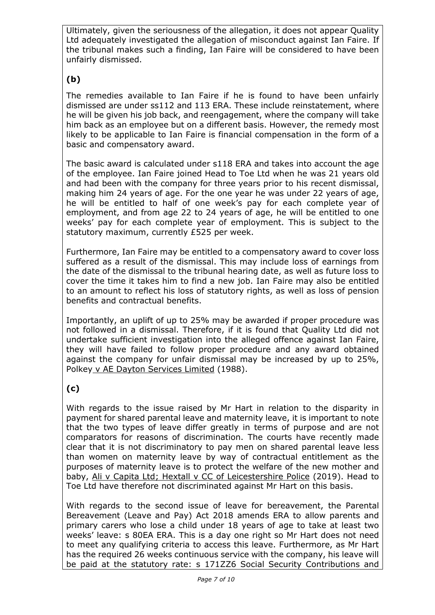Ultimately, given the seriousness of the allegation, it does not appear Quality Ltd adequately investigated the allegation of misconduct against Ian Faire. If the tribunal makes such a finding, Ian Faire will be considered to have been unfairly dismissed.

# **(b)**

The remedies available to Ian Faire if he is found to have been unfairly dismissed are under ss112 and 113 ERA. These include reinstatement, where he will be given his job back, and reengagement, where the company will take him back as an employee but on a different basis. However, the remedy most likely to be applicable to Ian Faire is financial compensation in the form of a basic and compensatory award.

The basic award is calculated under s118 ERA and takes into account the age of the employee. Ian Faire joined Head to Toe Ltd when he was 21 years old and had been with the company for three years prior to his recent dismissal, making him 24 years of age. For the one year he was under 22 years of age, he will be entitled to half of one week's pay for each complete year of employment, and from age 22 to 24 years of age, he will be entitled to one weeks' pay for each complete year of employment. This is subject to the statutory maximum, currently £525 per week.

Furthermore, Ian Faire may be entitled to a compensatory award to cover loss suffered as a result of the dismissal. This may include loss of earnings from the date of the dismissal to the tribunal hearing date, as well as future loss to cover the time it takes him to find a new job. Ian Faire may also be entitled to an amount to reflect his loss of statutory rights, as well as loss of pension benefits and contractual benefits.

Importantly, an uplift of up to 25% may be awarded if proper procedure was not followed in a dismissal. Therefore, if it is found that Quality Ltd did not undertake sufficient investigation into the alleged offence against Ian Faire, they will have failed to follow proper procedure and any award obtained against the company for unfair dismissal may be increased by up to 25%, Polkey v AE Dayton Services Limited (1988).

# **(c)**

With regards to the issue raised by Mr Hart in relation to the disparity in payment for shared parental leave and maternity leave, it is important to note that the two types of leave differ greatly in terms of purpose and are not comparators for reasons of discrimination. The courts have recently made clear that it is not discriminatory to pay men on shared parental leave less than women on maternity leave by way of contractual entitlement as the purposes of maternity leave is to protect the welfare of the new mother and baby, Ali v Capita Ltd; Hextall v CC of Leicestershire Police (2019). Head to Toe Ltd have therefore not discriminated against Mr Hart on this basis.

With regards to the second issue of leave for bereavement, the Parental Bereavement (Leave and Pay) Act 2018 amends ERA to allow parents and primary carers who lose a child under 18 years of age to take at least two weeks' leave: s 80EA ERA. This is a day one right so Mr Hart does not need to meet any qualifying criteria to access this leave. Furthermore, as Mr Hart has the required 26 weeks continuous service with the company, his leave will be paid at the statutory rate: s 171ZZ6 Social Security Contributions and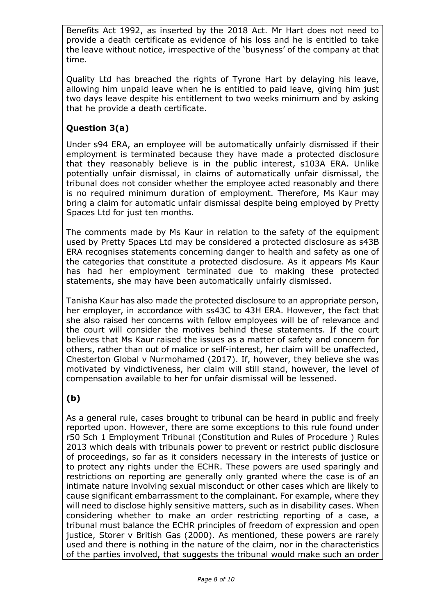Benefits Act 1992, as inserted by the 2018 Act. Mr Hart does not need to provide a death certificate as evidence of his loss and he is entitled to take the leave without notice, irrespective of the 'busyness' of the company at that time.

Quality Ltd has breached the rights of Tyrone Hart by delaying his leave, allowing him unpaid leave when he is entitled to paid leave, giving him just two days leave despite his entitlement to two weeks minimum and by asking that he provide a death certificate.

#### **Question 3(a)**

Under s94 ERA, an employee will be automatically unfairly dismissed if their employment is terminated because they have made a protected disclosure that they reasonably believe is in the public interest, s103A ERA. Unlike potentially unfair dismissal, in claims of automatically unfair dismissal, the tribunal does not consider whether the employee acted reasonably and there is no required minimum duration of employment. Therefore, Ms Kaur may bring a claim for automatic unfair dismissal despite being employed by Pretty Spaces Ltd for just ten months.

The comments made by Ms Kaur in relation to the safety of the equipment used by Pretty Spaces Ltd may be considered a protected disclosure as s43B ERA recognises statements concerning danger to health and safety as one of the categories that constitute a protected disclosure. As it appears Ms Kaur has had her employment terminated due to making these protected statements, she may have been automatically unfairly dismissed.

Tanisha Kaur has also made the protected disclosure to an appropriate person, her employer, in accordance with ss43C to 43H ERA. However, the fact that she also raised her concerns with fellow employees will be of relevance and the court will consider the motives behind these statements. If the court believes that Ms Kaur raised the issues as a matter of safety and concern for others, rather than out of malice or self-interest, her claim will be unaffected, Chesterton Global v Nurmohamed (2017). If, however, they believe she was motivated by vindictiveness, her claim will still stand, however, the level of compensation available to her for unfair dismissal will be lessened.

#### **(b)**

As a general rule, cases brought to tribunal can be heard in public and freely reported upon. However, there are some exceptions to this rule found under r50 Sch 1 Employment Tribunal (Constitution and Rules of Procedure ) Rules 2013 which deals with tribunals power to prevent or restrict public disclosure of proceedings, so far as it considers necessary in the interests of justice or to protect any rights under the ECHR. These powers are used sparingly and restrictions on reporting are generally only granted where the case is of an intimate nature involving sexual misconduct or other cases which are likely to cause significant embarrassment to the complainant. For example, where they will need to disclose highly sensitive matters, such as in disability cases. When considering whether to make an order restricting reporting of a case, a tribunal must balance the ECHR principles of freedom of expression and open justice, Storer v British Gas (2000). As mentioned, these powers are rarely used and there is nothing in the nature of the claim, nor in the characteristics of the parties involved, that suggests the tribunal would make such an order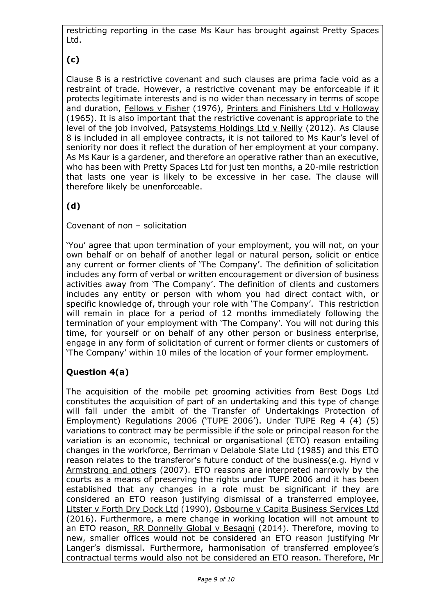restricting reporting in the case Ms Kaur has brought against Pretty Spaces Ltd.

**(c)**

Clause 8 is a restrictive covenant and such clauses are prima facie void as a restraint of trade. However, a restrictive covenant may be enforceable if it protects legitimate interests and is no wider than necessary in terms of scope and duration, Fellows v Fisher (1976), Printers and Finishers Ltd v Holloway (1965). It is also important that the restrictive covenant is appropriate to the level of the job involved, Patsystems Holdings Ltd v Neilly (2012). As Clause 8 is included in all employee contracts, it is not tailored to Ms Kaur's level of seniority nor does it reflect the duration of her employment at your company. As Ms Kaur is a gardener, and therefore an operative rather than an executive, who has been with Pretty Spaces Ltd for just ten months, a 20-mile restriction that lasts one year is likely to be excessive in her case. The clause will therefore likely be unenforceable.

**(d)** 

Covenant of non – solicitation

'You' agree that upon termination of your employment, you will not, on your own behalf or on behalf of another legal or natural person, solicit or entice any current or former clients of 'The Company'. The definition of solicitation includes any form of verbal or written encouragement or diversion of business activities away from 'The Company'. The definition of clients and customers includes any entity or person with whom you had direct contact with, or specific knowledge of, through your role with 'The Company'. This restriction will remain in place for a period of 12 months immediately following the termination of your employment with 'The Company'. You will not during this time, for yourself or on behalf of any other person or business enterprise, engage in any form of solicitation of current or former clients or customers of 'The Company' within 10 miles of the location of your former employment.

### **Question 4(a)**

The acquisition of the mobile pet grooming activities from Best Dogs Ltd constitutes the acquisition of part of an undertaking and this type of change will fall under the ambit of the Transfer of Undertakings Protection of Employment) Regulations 2006 ('TUPE 2006'). Under TUPE Reg 4 (4) (5) variations to contract may be permissible if the sole or principal reason for the variation is an economic, technical or organisational (ETO) reason entailing changes in the workforce, Berriman v Delabole Slate Ltd (1985) and this ETO reason relates to the transferor's future conduct of the business(e.g. Hynd v Armstrong and others (2007). ETO reasons are interpreted narrowly by the courts as a means of preserving the rights under TUPE 2006 and it has been established that any changes in a role must be significant if they are considered an ETO reason justifying dismissal of a transferred employee, Litster v Forth Dry Dock Ltd (1990), Osbourne v Capita Business Services Ltd (2016). Furthermore, a mere change in working location will not amount to an ETO reason, RR Donnelly Global v Besagni (2014). Therefore, moving to new, smaller offices would not be considered an ETO reason justifying Mr Langer's dismissal. Furthermore, harmonisation of transferred employee's contractual terms would also not be considered an ETO reason. Therefore, Mr